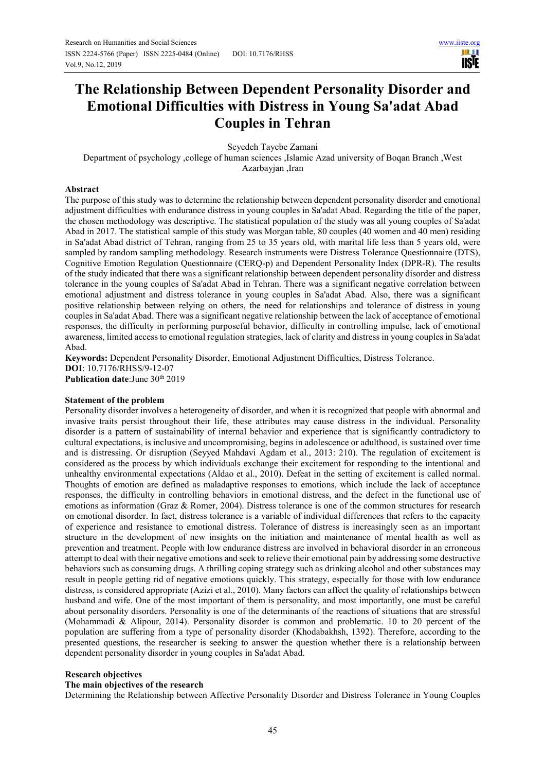# **The Relationship Between Dependent Personality Disorder and Emotional Difficulties with Distress in Young Sa'adat Abad Couples in Tehran**

Seyedeh Tayebe Zamani

Department of psychology ,college of human sciences ,Islamic Azad university of Boqan Branch ,West Azarbayjan ,Iran

# **Abstract**

The purpose of this study was to determine the relationship between dependent personality disorder and emotional adjustment difficulties with endurance distress in young couples in Sa'adat Abad. Regarding the title of the paper, the chosen methodology was descriptive. The statistical population of the study was all young couples of Sa'adat Abad in 2017. The statistical sample of this study was Morgan table, 80 couples (40 women and 40 men) residing in Sa'adat Abad district of Tehran, ranging from 25 to 35 years old, with marital life less than 5 years old, were sampled by random sampling methodology. Research instruments were Distress Tolerance Questionnaire (DTS), Cognitive Emotion Regulation Questionnaire (CERQ-p) and Dependent Personality Index (DPR-R). The results of the study indicated that there was a significant relationship between dependent personality disorder and distress tolerance in the young couples of Sa'adat Abad in Tehran. There was a significant negative correlation between emotional adjustment and distress tolerance in young couples in Sa'adat Abad. Also, there was a significant positive relationship between relying on others, the need for relationships and tolerance of distress in young couples in Sa'adat Abad. There was a significant negative relationship between the lack of acceptance of emotional responses, the difficulty in performing purposeful behavior, difficulty in controlling impulse, lack of emotional awareness, limited access to emotional regulation strategies, lack of clarity and distress in young couples in Sa'adat Abad.

**Keywords:** Dependent Personality Disorder, Emotional Adjustment Difficulties, Distress Tolerance. **DOI**: 10.7176/RHSS/9-12-07 **Publication date:**June 30<sup>th</sup> 2019

# **Statement of the problem**

Personality disorder involves a heterogeneity of disorder, and when it is recognized that people with abnormal and invasive traits persist throughout their life, these attributes may cause distress in the individual. Personality disorder is a pattern of sustainability of internal behavior and experience that is significantly contradictory to cultural expectations, is inclusive and uncompromising, begins in adolescence or adulthood, is sustained over time and is distressing. Or disruption (Seyyed Mahdavi Agdam et al., 2013: 210). The regulation of excitement is considered as the process by which individuals exchange their excitement for responding to the intentional and unhealthy environmental expectations (Aldao et al., 2010). Defeat in the setting of excitement is called normal. Thoughts of emotion are defined as maladaptive responses to emotions, which include the lack of acceptance responses, the difficulty in controlling behaviors in emotional distress, and the defect in the functional use of emotions as information (Graz & Romer, 2004). Distress tolerance is one of the common structures for research on emotional disorder. In fact, distress tolerance is a variable of individual differences that refers to the capacity of experience and resistance to emotional distress. Tolerance of distress is increasingly seen as an important structure in the development of new insights on the initiation and maintenance of mental health as well as prevention and treatment. People with low endurance distress are involved in behavioral disorder in an erroneous attempt to deal with their negative emotions and seek to relieve their emotional pain by addressing some destructive behaviors such as consuming drugs. A thrilling coping strategy such as drinking alcohol and other substances may result in people getting rid of negative emotions quickly. This strategy, especially for those with low endurance distress, is considered appropriate (Azizi et al., 2010). Many factors can affect the quality of relationships between husband and wife. One of the most important of them is personality, and most importantly, one must be careful about personality disorders. Personality is one of the determinants of the reactions of situations that are stressful (Mohammadi & Alipour, 2014). Personality disorder is common and problematic. 10 to 20 percent of the population are suffering from a type of personality disorder (Khodabakhsh, 1392). Therefore, according to the presented questions, the researcher is seeking to answer the question whether there is a relationship between dependent personality disorder in young couples in Sa'adat Abad.

# **Research objectives**

## **The main objectives of the research**

Determining the Relationship between Affective Personality Disorder and Distress Tolerance in Young Couples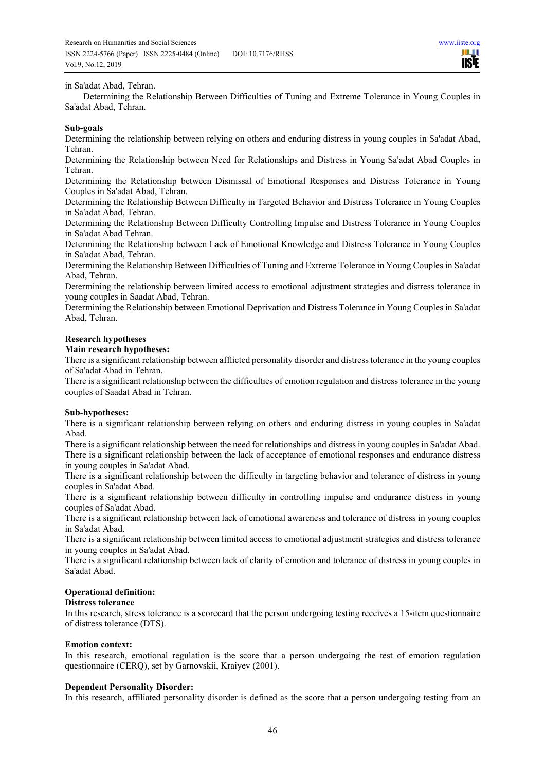## in Sa'adat Abad, Tehran.

Determining the Relationship Between Difficulties of Tuning and Extreme Tolerance in Young Couples in Sa'adat Abad, Tehran.

## **Sub-goals**

Determining the relationship between relying on others and enduring distress in young couples in Sa'adat Abad, Tehran.

Determining the Relationship between Need for Relationships and Distress in Young Sa'adat Abad Couples in Tehran.

Determining the Relationship between Dismissal of Emotional Responses and Distress Tolerance in Young Couples in Sa'adat Abad, Tehran.

Determining the Relationship Between Difficulty in Targeted Behavior and Distress Tolerance in Young Couples in Sa'adat Abad, Tehran.

Determining the Relationship Between Difficulty Controlling Impulse and Distress Tolerance in Young Couples in Sa'adat Abad Tehran.

Determining the Relationship between Lack of Emotional Knowledge and Distress Tolerance in Young Couples in Sa'adat Abad, Tehran.

Determining the Relationship Between Difficulties of Tuning and Extreme Tolerance in Young Couples in Sa'adat Abad, Tehran.

Determining the relationship between limited access to emotional adjustment strategies and distress tolerance in young couples in Saadat Abad, Tehran.

Determining the Relationship between Emotional Deprivation and Distress Tolerance in Young Couples in Sa'adat Abad, Tehran.

# **Research hypotheses**

## **Main research hypotheses:**

There is a significant relationship between afflicted personality disorder and distress tolerance in the young couples of Sa'adat Abad in Tehran.

There is a significant relationship between the difficulties of emotion regulation and distress tolerance in the young couples of Saadat Abad in Tehran.

## **Sub-hypotheses:**

There is a significant relationship between relying on others and enduring distress in young couples in Sa'adat Abad.

There is a significant relationship between the need for relationships and distress in young couples in Sa'adat Abad. There is a significant relationship between the lack of acceptance of emotional responses and endurance distress in young couples in Sa'adat Abad.

There is a significant relationship between the difficulty in targeting behavior and tolerance of distress in young couples in Sa'adat Abad.

There is a significant relationship between difficulty in controlling impulse and endurance distress in young couples of Sa'adat Abad.

There is a significant relationship between lack of emotional awareness and tolerance of distress in young couples in Sa'adat Abad.

There is a significant relationship between limited access to emotional adjustment strategies and distress tolerance in young couples in Sa'adat Abad.

There is a significant relationship between lack of clarity of emotion and tolerance of distress in young couples in Sa'adat Abad.

# **Operational definition:**

## **Distress tolerance**

In this research, stress tolerance is a scorecard that the person undergoing testing receives a 15-item questionnaire of distress tolerance (DTS).

## **Emotion context:**

In this research, emotional regulation is the score that a person undergoing the test of emotion regulation questionnaire (CERQ), set by Garnovskii, Kraiyev (2001).

## **Dependent Personality Disorder:**

In this research, affiliated personality disorder is defined as the score that a person undergoing testing from an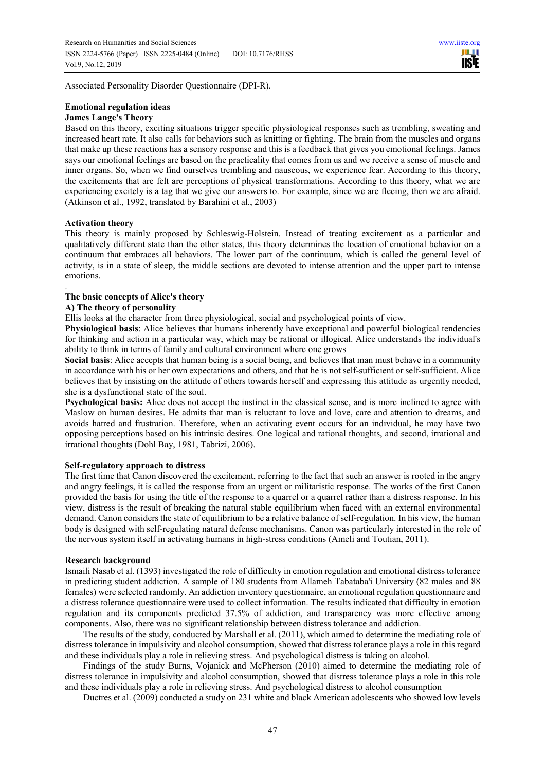Associated Personality Disorder Questionnaire (DPI-R).

## **Emotional regulation ideas James Lange's Theory**

Based on this theory, exciting situations trigger specific physiological responses such as trembling, sweating and increased heart rate. It also calls for behaviors such as knitting or fighting. The brain from the muscles and organs that make up these reactions has a sensory response and this is a feedback that gives you emotional feelings. James says our emotional feelings are based on the practicality that comes from us and we receive a sense of muscle and inner organs. So, when we find ourselves trembling and nauseous, we experience fear. According to this theory, the excitements that are felt are perceptions of physical transformations. According to this theory, what we are experiencing excitely is a tag that we give our answers to. For example, since we are fleeing, then we are afraid. (Atkinson et al., 1992, translated by Barahini et al., 2003)

## **Activation theory**

This theory is mainly proposed by Schleswig-Holstein. Instead of treating excitement as a particular and qualitatively different state than the other states, this theory determines the location of emotional behavior on a continuum that embraces all behaviors. The lower part of the continuum, which is called the general level of activity, is in a state of sleep, the middle sections are devoted to intense attention and the upper part to intense emotions.

#### . **The basic concepts of Alice's theory**

## **A) The theory of personality**

Ellis looks at the character from three physiological, social and psychological points of view.

**Physiological basis**: Alice believes that humans inherently have exceptional and powerful biological tendencies for thinking and action in a particular way, which may be rational or illogical. Alice understands the individual's ability to think in terms of family and cultural environment where one grows

**Social basis**: Alice accepts that human being is a social being, and believes that man must behave in a community in accordance with his or her own expectations and others, and that he is not self-sufficient or self-sufficient. Alice believes that by insisting on the attitude of others towards herself and expressing this attitude as urgently needed, she is a dysfunctional state of the soul.

**Psychological basis:** Alice does not accept the instinct in the classical sense, and is more inclined to agree with Maslow on human desires. He admits that man is reluctant to love and love, care and attention to dreams, and avoids hatred and frustration. Therefore, when an activating event occurs for an individual, he may have two opposing perceptions based on his intrinsic desires. One logical and rational thoughts, and second, irrational and irrational thoughts (Dohl Bay, 1981, Tabrizi, 2006).

# **Self-regulatory approach to distress**

The first time that Canon discovered the excitement, referring to the fact that such an answer is rooted in the angry and angry feelings, it is called the response from an urgent or militaristic response. The works of the first Canon provided the basis for using the title of the response to a quarrel or a quarrel rather than a distress response. In his view, distress is the result of breaking the natural stable equilibrium when faced with an external environmental demand. Canon considers the state of equilibrium to be a relative balance of self-regulation. In his view, the human body is designed with self-regulating natural defense mechanisms. Canon was particularly interested in the role of the nervous system itself in activating humans in high-stress conditions (Ameli and Toutian, 2011).

## **Research background**

Ismaili Nasab et al. (1393) investigated the role of difficulty in emotion regulation and emotional distress tolerance in predicting student addiction. A sample of 180 students from Allameh Tabataba'i University (82 males and 88 females) were selected randomly. An addiction inventory questionnaire, an emotional regulation questionnaire and a distress tolerance questionnaire were used to collect information. The results indicated that difficulty in emotion regulation and its components predicted 37.5% of addiction, and transparency was more effective among components. Also, there was no significant relationship between distress tolerance and addiction.

The results of the study, conducted by Marshall et al. (2011), which aimed to determine the mediating role of distress tolerance in impulsivity and alcohol consumption, showed that distress tolerance plays a role in this regard and these individuals play a role in relieving stress. And psychological distress is taking on alcohol.

Findings of the study Burns, Vojanick and McPherson (2010) aimed to determine the mediating role of distress tolerance in impulsivity and alcohol consumption, showed that distress tolerance plays a role in this role and these individuals play a role in relieving stress. And psychological distress to alcohol consumption

Ductres et al. (2009) conducted a study on 231 white and black American adolescents who showed low levels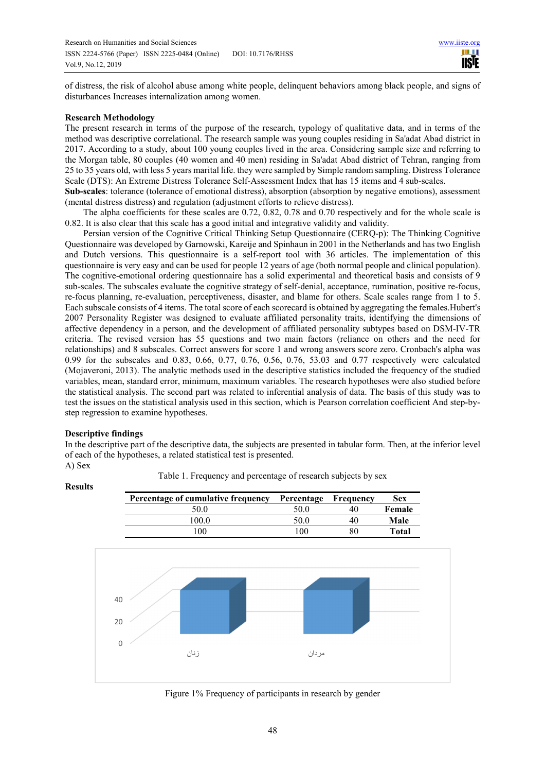of distress, the risk of alcohol abuse among white people, delinquent behaviors among black people, and signs of disturbances Increases internalization among women.

## **Research Methodology**

The present research in terms of the purpose of the research, typology of qualitative data, and in terms of the method was descriptive correlational. The research sample was young couples residing in Sa'adat Abad district in 2017. According to a study, about 100 young couples lived in the area. Considering sample size and referring to the Morgan table, 80 couples (40 women and 40 men) residing in Sa'adat Abad district of Tehran, ranging from 25 to 35 years old, with less 5 years marital life. they were sampled by Simple random sampling. Distress Tolerance Scale (DTS): An Extreme Distress Tolerance Self-Assessment Index that has 15 items and 4 sub-scales.

**Sub-scales**: tolerance (tolerance of emotional distress), absorption (absorption by negative emotions), assessment (mental distress distress) and regulation (adjustment efforts to relieve distress).

The alpha coefficients for these scales are 0.72, 0.82, 0.78 and 0.70 respectively and for the whole scale is 0.82. It is also clear that this scale has a good initial and integrative validity and validity.

Persian version of the Cognitive Critical Thinking Setup Questionnaire (CERQ-p): The Thinking Cognitive Questionnaire was developed by Garnowski, Kareije and Spinhaun in 2001 in the Netherlands and has two English and Dutch versions. This questionnaire is a self-report tool with 36 articles. The implementation of this questionnaire is very easy and can be used for people 12 years of age (both normal people and clinical population). The cognitive-emotional ordering questionnaire has a solid experimental and theoretical basis and consists of 9 sub-scales. The subscales evaluate the cognitive strategy of self-denial, acceptance, rumination, positive re-focus, re-focus planning, re-evaluation, perceptiveness, disaster, and blame for others. Scale scales range from 1 to 5. Each subscale consists of 4 items. The total score of each scorecard is obtained by aggregating the females.Hubert's 2007 Personality Register was designed to evaluate affiliated personality traits, identifying the dimensions of affective dependency in a person, and the development of affiliated personality subtypes based on DSM-IV-TR criteria. The revised version has 55 questions and two main factors (reliance on others and the need for relationships) and 8 subscales. Correct answers for score 1 and wrong answers score zero. Cronbach's alpha was 0.99 for the subscales and 0.83, 0.66, 0.77, 0.76, 0.56, 0.76, 53.03 and 0.77 respectively were calculated (Mojaveroni, 2013). The analytic methods used in the descriptive statistics included the frequency of the studied variables, mean, standard error, minimum, maximum variables. The research hypotheses were also studied before the statistical analysis. The second part was related to inferential analysis of data. The basis of this study was to test the issues on the statistical analysis used in this section, which is Pearson correlation coefficient And step-bystep regression to examine hypotheses.

## **Descriptive findings**

In the descriptive part of the descriptive data, the subjects are presented in tabular form. Then, at the inferior level of each of the hypotheses, a related statistical test is presented. A) Sex



Table 1. Frequency and percentage of research subjects by sex

Figure 1% Frequency of participants in research by gender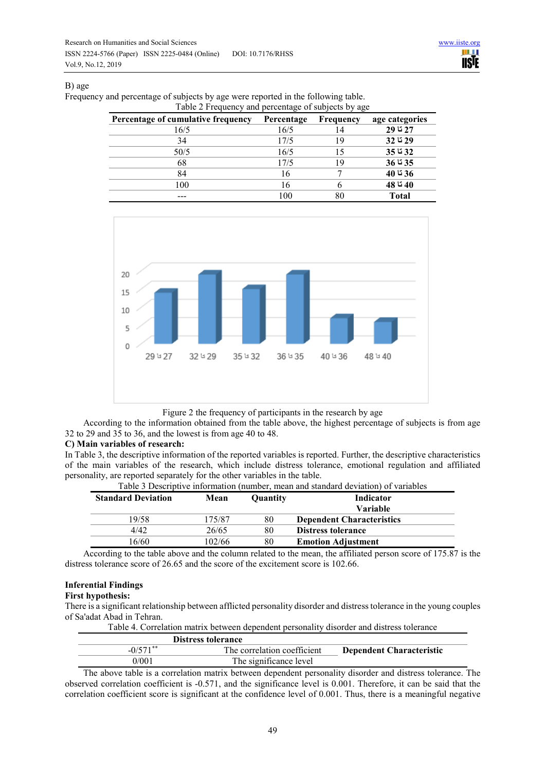## B) age

| Table 2 Frequency and percentage of subjects by age |            |                  |                |  |
|-----------------------------------------------------|------------|------------------|----------------|--|
| Percentage of cumulative frequency                  | Percentage | <b>Frequency</b> | age categories |  |
| 16/5                                                | 16/5       | 14               | 27 تا 29       |  |
| 34                                                  | 17/5       | 1 Q              | 29 تا 32       |  |
| 50/5                                                | 16/5       |                  | 32 تا 35       |  |
| 68                                                  | 17/5       | 19               | 35 تا 36       |  |
| 84                                                  | 16         |                  | 36 تا 40       |  |
| 100                                                 | 16         |                  | 40 تا 48       |  |
|                                                     | 100        |                  | <b>Total</b>   |  |

Frequency and percentage of subjects by age were reported in the following table.



Figure 2 the frequency of participants in the research by age

According to the information obtained from the table above, the highest percentage of subjects is from age 32 to 29 and 35 to 36, and the lowest is from age 40 to 48.

## **C) Main variables of research:**

In Table 3, the descriptive information of the reported variables is reported. Further, the descriptive characteristics of the main variables of the research, which include distress tolerance, emotional regulation and affiliated personality, are reported separately for the other variables in the table.

Table 3 Descriptive information (number, mean and standard deviation) of variables

| <b>Standard Deviation</b> | Mean   | Quantity | Indicator                        |
|---------------------------|--------|----------|----------------------------------|
|                           |        |          | <b>Variable</b>                  |
| 19/58                     | 175/87 | 80       | <b>Dependent Characteristics</b> |
| 4/42                      | 26/65  | 80       | <b>Distress tolerance</b>        |
| 6/60                      | 102/66 | 80       | <b>Emotion Adjustment</b>        |

According to the table above and the column related to the mean, the affiliated person score of 175.87 is the distress tolerance score of 26.65 and the score of the excitement score is 102.66.

# **Inferential Findings**

# **First hypothesis:**

There is a significant relationship between afflicted personality disorder and distress tolerance in the young couples of Sa'adat Abad in Tehran.

| Table 4. Correlation matrix between dependent personality disorder and distress tolerance |                             |                                 |  |
|-------------------------------------------------------------------------------------------|-----------------------------|---------------------------------|--|
| <b>Distress tolerance</b>                                                                 |                             |                                 |  |
| $-0/571$ <sup>**</sup>                                                                    | The correlation coefficient | <b>Dependent Characteristic</b> |  |
| 0/001                                                                                     | The significance level      |                                 |  |

The above table is a correlation matrix between dependent personality disorder and distress tolerance. The observed correlation coefficient is -0.571, and the significance level is 0.001. Therefore, it can be said that the correlation coefficient score is significant at the confidence level of 0.001. Thus, there is a meaningful negative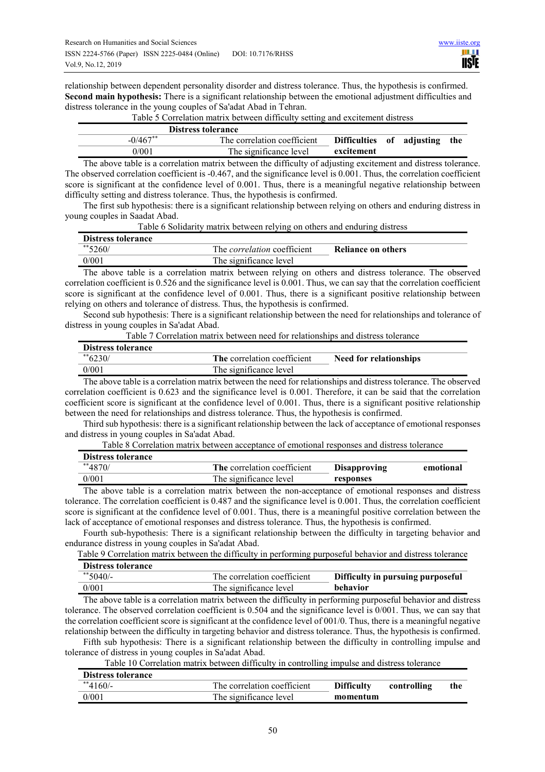relationship between dependent personality disorder and distress tolerance. Thus, the hypothesis is confirmed. **Second main hypothesis:** There is a significant relationship between the emotional adjustment difficulties and distress tolerance in the young couples of Sa'adat Abad in Tehran.

|             | <b>Distress tolerance</b>   |                               |  |  |
|-------------|-----------------------------|-------------------------------|--|--|
| $-0/467$ ** | The correlation coefficient | Difficulties of adjusting the |  |  |
| 0/001       | The significance level      | excitement                    |  |  |

Table 5 Correlation matrix between difficulty setting and excitement distress

The above table is a correlation matrix between the difficulty of adjusting excitement and distress tolerance. The observed correlation coefficient is -0.467, and the significance level is 0.001. Thus, the correlation coefficient score is significant at the confidence level of 0.001. Thus, there is a meaningful negative relationship between difficulty setting and distress tolerance. Thus, the hypothesis is confirmed.

The first sub hypothesis: there is a significant relationship between relying on others and enduring distress in young couples in Saadat Abad.

| Table 6 Solidarity matrix between relying on others and enduring distress |  |  |
|---------------------------------------------------------------------------|--|--|
|                                                                           |  |  |

| <b>Distress tolerance</b> |                                    |                    |
|---------------------------|------------------------------------|--------------------|
| $*$ 5260/                 | The <i>correlation</i> coefficient | Reliance on others |
| 0/001                     | The significance level             |                    |

The above table is a correlation matrix between relying on others and distress tolerance. The observed correlation coefficient is 0.526 and the significance level is 0.001. Thus, we can say that the correlation coefficient score is significant at the confidence level of 0.001. Thus, there is a significant positive relationship between relying on others and tolerance of distress. Thus, the hypothesis is confirmed.

Second sub hypothesis: There is a significant relationship between the need for relationships and tolerance of distress in young couples in Sa'adat Abad.

| Table 7 Correlation matrix between need for relationships and distress tolerance |                             |                        |  |  |
|----------------------------------------------------------------------------------|-----------------------------|------------------------|--|--|
| Distress tolerance                                                               |                             |                        |  |  |
| ** 6230/                                                                         | The correlation coefficient | Need for relationships |  |  |
| 0/001                                                                            | The significance level      |                        |  |  |

The above table is a correlation matrix between the need for relationships and distress tolerance. The observed correlation coefficient is 0.623 and the significance level is 0.001. Therefore, it can be said that the correlation coefficient score is significant at the confidence level of 0.001. Thus, there is a significant positive relationship between the need for relationships and distress tolerance. Thus, the hypothesis is confirmed.

Third sub hypothesis: there is a significant relationship between the lack of acceptance of emotional responses and distress in young couples in Sa'adat Abad.

| Table 8 Correlation matrix between acceptance of emotional responses and distress tolerance |  |
|---------------------------------------------------------------------------------------------|--|
|---------------------------------------------------------------------------------------------|--|

| <b>Distress tolerance</b> |                             |                     |           |
|---------------------------|-----------------------------|---------------------|-----------|
| $**4870/$                 | The correlation coefficient | <b>Disapproving</b> | emotional |
| 0/001                     | The significance level      | responses           |           |

The above table is a correlation matrix between the non-acceptance of emotional responses and distress tolerance. The correlation coefficient is 0.487 and the significance level is 0.001. Thus, the correlation coefficient score is significant at the confidence level of 0.001. Thus, there is a meaningful positive correlation between the lack of acceptance of emotional responses and distress tolerance. Thus, the hypothesis is confirmed.

Fourth sub-hypothesis: There is a significant relationship between the difficulty in targeting behavior and endurance distress in young couples in Sa'adat Abad.

Table 9 Correlation matrix between the difficulty in performing purposeful behavior and distress tolerance

| <b>Distress tolerance</b> |                             |                                   |
|---------------------------|-----------------------------|-----------------------------------|
| $*$ 5040/-                | The correlation coefficient | Difficulty in pursuing purposeful |
| 0/001                     | The significance level      | behavior                          |

The above table is a correlation matrix between the difficulty in performing purposeful behavior and distress tolerance. The observed correlation coefficient is 0.504 and the significance level is 0/001. Thus, we can say that the correlation coefficient score is significant at the confidence level of 001/0. Thus, there is a meaningful negative relationship between the difficulty in targeting behavior and distress tolerance. Thus, the hypothesis is confirmed.

Fifth sub hypothesis: There is a significant relationship between the difficulty in controlling impulse and tolerance of distress in young couples in Sa'adat Abad.

Table 10 Correlation matrix between difficulty in controlling impulse and distress tolerance

| <b>Distress tolerance</b> |                             |                   |             |     |
|---------------------------|-----------------------------|-------------------|-------------|-----|
| $*$ 4160/-                | The correlation coefficient | <b>Difficulty</b> | controlling | the |
| 0/001                     | The significance level      | momentum          |             |     |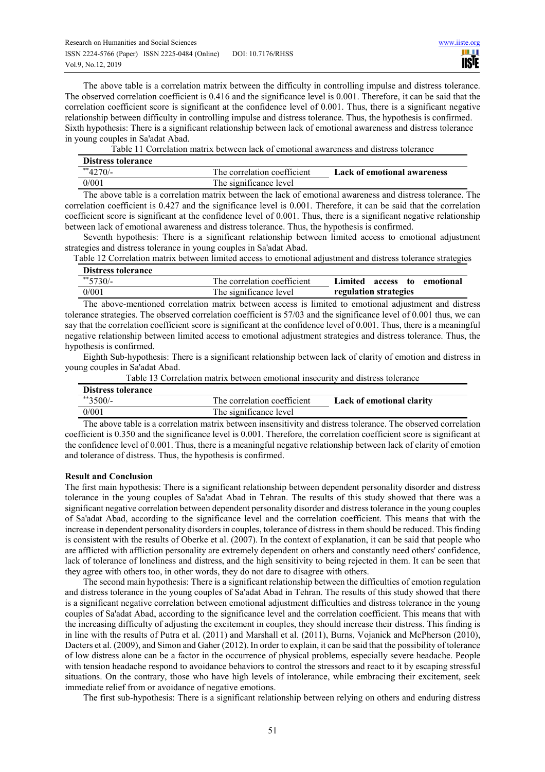The above table is a correlation matrix between the difficulty in controlling impulse and distress tolerance. The observed correlation coefficient is 0.416 and the significance level is 0.001. Therefore, it can be said that the correlation coefficient score is significant at the confidence level of 0.001. Thus, there is a significant negative relationship between difficulty in controlling impulse and distress tolerance. Thus, the hypothesis is confirmed. Sixth hypothesis: There is a significant relationship between lack of emotional awareness and distress tolerance in young couples in Sa'adat Abad.

| <b>Distress tolerance</b> |                             |                                    |
|---------------------------|-----------------------------|------------------------------------|
| $*$ 4270/-                | The correlation coefficient | <b>Lack of emotional awareness</b> |
| 0/001                     | The significance level      |                                    |

The above table is a correlation matrix between the lack of emotional awareness and distress tolerance. The correlation coefficient is 0.427 and the significance level is 0.001. Therefore, it can be said that the correlation coefficient score is significant at the confidence level of 0.001. Thus, there is a significant negative relationship between lack of emotional awareness and distress tolerance. Thus, the hypothesis is confirmed.

Seventh hypothesis: There is a significant relationship between limited access to emotional adjustment strategies and distress tolerance in young couples in Sa'adat Abad.

Table 12 Correlation matrix between limited access to emotional adjustment and distress tolerance strategies

| <b>Distress tolerance</b> |                             |                                   |
|---------------------------|-----------------------------|-----------------------------------|
| $*$ 5730/-                | The correlation coefficient | Limited<br>access<br>to emotional |
| 0/001                     | The significance level      | regulation strategies             |

The above-mentioned correlation matrix between access is limited to emotional adjustment and distress tolerance strategies. The observed correlation coefficient is 57/03 and the significance level of 0.001 thus, we can say that the correlation coefficient score is significant at the confidence level of 0.001. Thus, there is a meaningful negative relationship between limited access to emotional adjustment strategies and distress tolerance. Thus, the hypothesis is confirmed.

Eighth Sub-hypothesis: There is a significant relationship between lack of clarity of emotion and distress in young couples in Sa'adat Abad.

| <b>Distress tolerance</b> |                             |                                  |  |  |
|---------------------------|-----------------------------|----------------------------------|--|--|
| $*$ 3500/-                | The correlation coefficient | <b>Lack of emotional clarity</b> |  |  |
| 0/001                     | The significance level      |                                  |  |  |

Table 13 Correlation matrix between emotional insecurity and distress tolerance

The above table is a correlation matrix between insensitivity and distress tolerance. The observed correlation coefficient is 0.350 and the significance level is 0.001. Therefore, the correlation coefficient score is significant at the confidence level of 0.001. Thus, there is a meaningful negative relationship between lack of clarity of emotion and tolerance of distress. Thus, the hypothesis is confirmed.

# **Result and Conclusion**

The first main hypothesis: There is a significant relationship between dependent personality disorder and distress tolerance in the young couples of Sa'adat Abad in Tehran. The results of this study showed that there was a significant negative correlation between dependent personality disorder and distress tolerance in the young couples of Sa'adat Abad, according to the significance level and the correlation coefficient. This means that with the increase in dependent personality disorders in couples, tolerance of distress in them should be reduced. This finding is consistent with the results of Oberke et al. (2007). In the context of explanation, it can be said that people who are afflicted with affliction personality are extremely dependent on others and constantly need others' confidence, lack of tolerance of loneliness and distress, and the high sensitivity to being rejected in them. It can be seen that they agree with others too, in other words, they do not dare to disagree with others.

The second main hypothesis: There is a significant relationship between the difficulties of emotion regulation and distress tolerance in the young couples of Sa'adat Abad in Tehran. The results of this study showed that there is a significant negative correlation between emotional adjustment difficulties and distress tolerance in the young couples of Sa'adat Abad, according to the significance level and the correlation coefficient. This means that with the increasing difficulty of adjusting the excitement in couples, they should increase their distress. This finding is in line with the results of Putra et al. (2011) and Marshall et al. (2011), Burns, Vojanick and McPherson (2010), Dacters et al. (2009), and Simon and Gaher (2012). In order to explain, it can be said that the possibility of tolerance of low distress alone can be a factor in the occurrence of physical problems, especially severe headache. People with tension headache respond to avoidance behaviors to control the stressors and react to it by escaping stressful situations. On the contrary, those who have high levels of intolerance, while embracing their excitement, seek immediate relief from or avoidance of negative emotions.

The first sub-hypothesis: There is a significant relationship between relying on others and enduring distress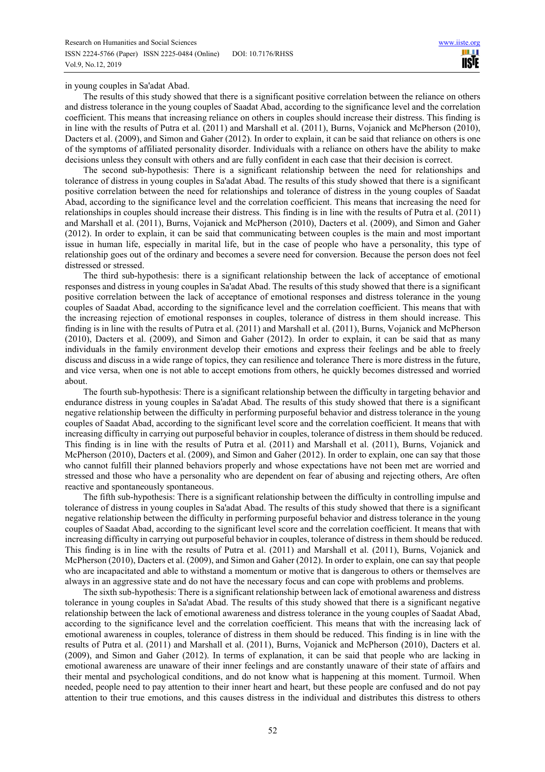in young couples in Sa'adat Abad.

The results of this study showed that there is a significant positive correlation between the reliance on others and distress tolerance in the young couples of Saadat Abad, according to the significance level and the correlation coefficient. This means that increasing reliance on others in couples should increase their distress. This finding is in line with the results of Putra et al. (2011) and Marshall et al. (2011), Burns, Vojanick and McPherson (2010), Dacters et al. (2009), and Simon and Gaher (2012). In order to explain, it can be said that reliance on others is one of the symptoms of affiliated personality disorder. Individuals with a reliance on others have the ability to make decisions unless they consult with others and are fully confident in each case that their decision is correct.

The second sub-hypothesis: There is a significant relationship between the need for relationships and tolerance of distress in young couples in Sa'adat Abad. The results of this study showed that there is a significant positive correlation between the need for relationships and tolerance of distress in the young couples of Saadat Abad, according to the significance level and the correlation coefficient. This means that increasing the need for relationships in couples should increase their distress. This finding is in line with the results of Putra et al. (2011) and Marshall et al. (2011), Burns, Vojanick and McPherson (2010), Dacters et al. (2009), and Simon and Gaher (2012). In order to explain, it can be said that communicating between couples is the main and most important issue in human life, especially in marital life, but in the case of people who have a personality, this type of relationship goes out of the ordinary and becomes a severe need for conversion. Because the person does not feel distressed or stressed.

The third sub-hypothesis: there is a significant relationship between the lack of acceptance of emotional responses and distress in young couples in Sa'adat Abad. The results of this study showed that there is a significant positive correlation between the lack of acceptance of emotional responses and distress tolerance in the young couples of Saadat Abad, according to the significance level and the correlation coefficient. This means that with the increasing rejection of emotional responses in couples, tolerance of distress in them should increase. This finding is in line with the results of Putra et al. (2011) and Marshall et al. (2011), Burns, Vojanick and McPherson (2010), Dacters et al. (2009), and Simon and Gaher (2012). In order to explain, it can be said that as many individuals in the family environment develop their emotions and express their feelings and be able to freely discuss and discuss in a wide range of topics, they can resilience and tolerance There is more distress in the future, and vice versa, when one is not able to accept emotions from others, he quickly becomes distressed and worried about.

The fourth sub-hypothesis: There is a significant relationship between the difficulty in targeting behavior and endurance distress in young couples in Sa'adat Abad. The results of this study showed that there is a significant negative relationship between the difficulty in performing purposeful behavior and distress tolerance in the young couples of Saadat Abad, according to the significant level score and the correlation coefficient. It means that with increasing difficulty in carrying out purposeful behavior in couples, tolerance of distress in them should be reduced. This finding is in line with the results of Putra et al. (2011) and Marshall et al. (2011), Burns, Vojanick and McPherson (2010), Dacters et al. (2009), and Simon and Gaher (2012). In order to explain, one can say that those who cannot fulfill their planned behaviors properly and whose expectations have not been met are worried and stressed and those who have a personality who are dependent on fear of abusing and rejecting others, Are often reactive and spontaneously spontaneous.

The fifth sub-hypothesis: There is a significant relationship between the difficulty in controlling impulse and tolerance of distress in young couples in Sa'adat Abad. The results of this study showed that there is a significant negative relationship between the difficulty in performing purposeful behavior and distress tolerance in the young couples of Saadat Abad, according to the significant level score and the correlation coefficient. It means that with increasing difficulty in carrying out purposeful behavior in couples, tolerance of distress in them should be reduced. This finding is in line with the results of Putra et al. (2011) and Marshall et al. (2011), Burns, Vojanick and McPherson (2010), Dacters et al. (2009), and Simon and Gaher (2012). In order to explain, one can say that people who are incapacitated and able to withstand a momentum or motive that is dangerous to others or themselves are always in an aggressive state and do not have the necessary focus and can cope with problems and problems.

The sixth sub-hypothesis: There is a significant relationship between lack of emotional awareness and distress tolerance in young couples in Sa'adat Abad. The results of this study showed that there is a significant negative relationship between the lack of emotional awareness and distress tolerance in the young couples of Saadat Abad, according to the significance level and the correlation coefficient. This means that with the increasing lack of emotional awareness in couples, tolerance of distress in them should be reduced. This finding is in line with the results of Putra et al. (2011) and Marshall et al. (2011), Burns, Vojanick and McPherson (2010), Dacters et al. (2009), and Simon and Gaher (2012). In terms of explanation, it can be said that people who are lacking in emotional awareness are unaware of their inner feelings and are constantly unaware of their state of affairs and their mental and psychological conditions, and do not know what is happening at this moment. Turmoil. When needed, people need to pay attention to their inner heart and heart, but these people are confused and do not pay attention to their true emotions, and this causes distress in the individual and distributes this distress to others